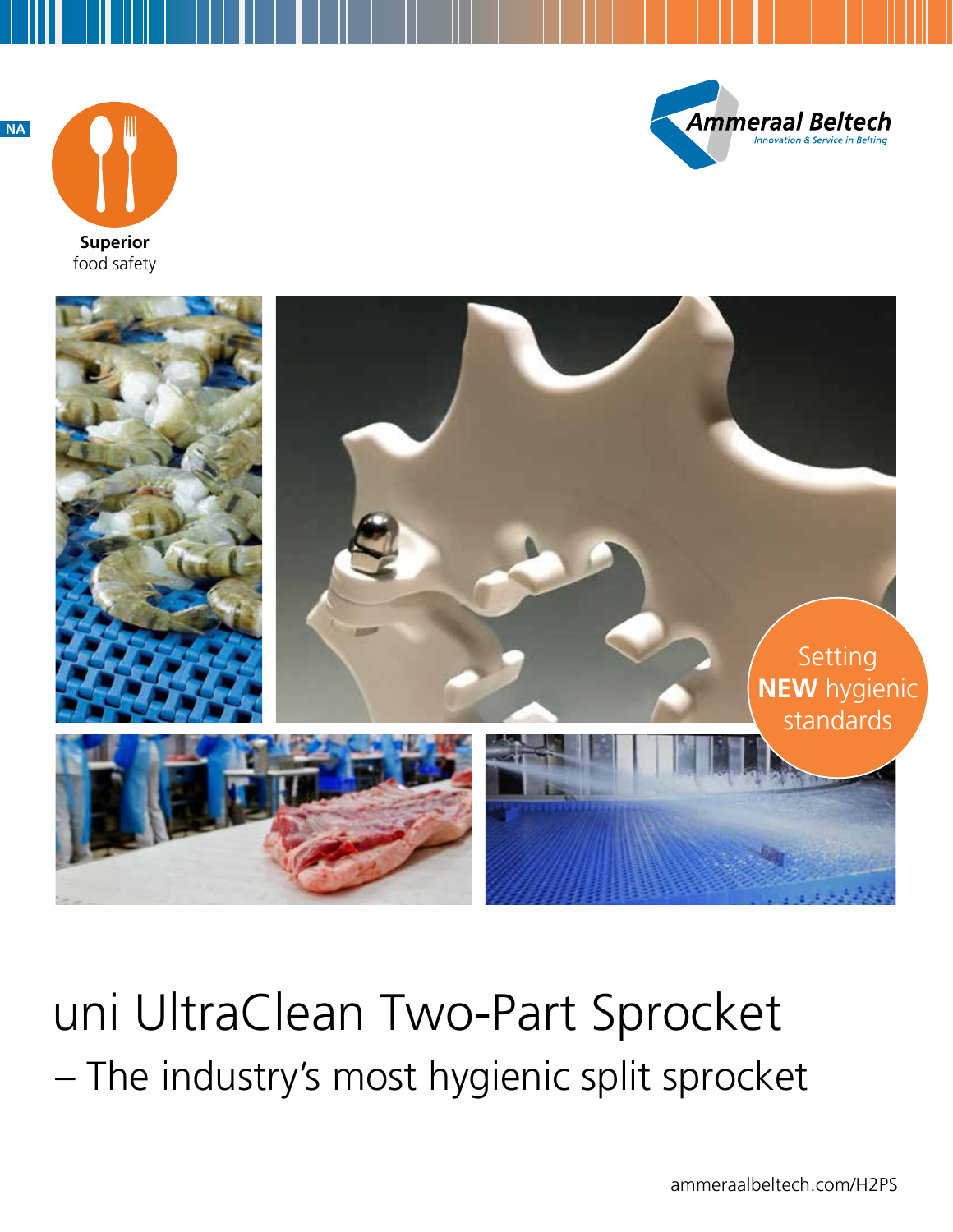**NA**



food safety **Superior**





# uni UltraClean Two-Part Sprocket – The industry's most hygienic split sprocket

ammeraalbeltech.com/H2PS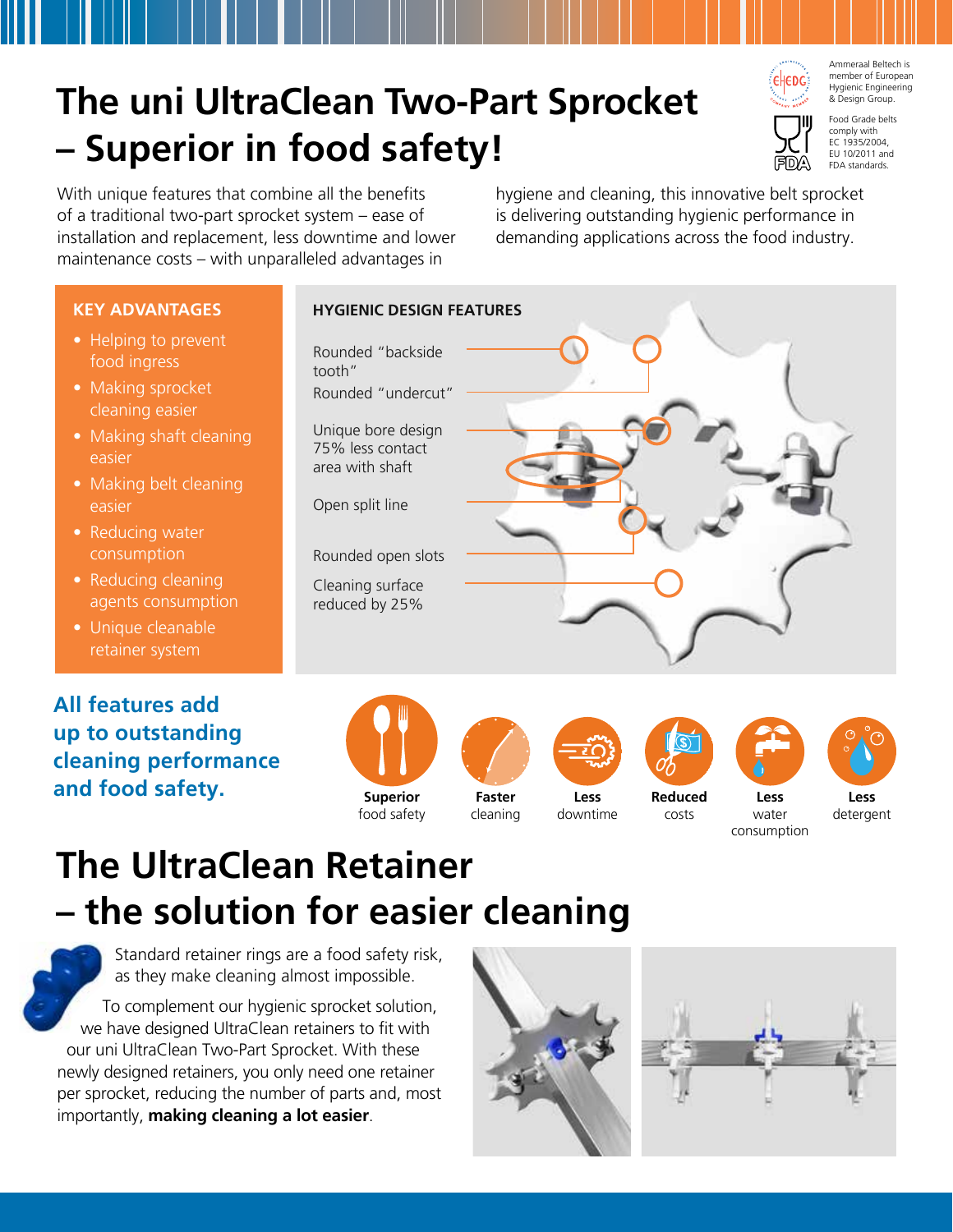## **The uni UltraClean Two-Part Sprocket – Superior in food safety!**



Ammeraal Beltech is member of European Hygienic Engineering & Design Group.

Food Grade belts comply with EC 1935/2004, EU 10/2011 and l≥lD∖⊽ FDA standards.

With unique features that combine all the benefits of a traditional two-part sprocket system – ease of installation and replacement, less downtime and lower maintenance costs – with unparalleled advantages in

hygiene and cleaning, this innovative belt sprocket is delivering outstanding hygienic performance in demanding applications across the food industry.

### **KEY ADVANTAGES**

- Helping to prevent food ingress
- Making sprocket cleaning easier
- Making shaft cleaning easier
- Making belt cleaning easier
- Reducing water consumption
- Reducing cleaning agents consumption
- Unique cleanable retainer system

**All features add up to outstanding cleaning performance and food safety.**

### **HYGIENIC DESIGN FEATURES**

Rounded "undercut" Rounded "backside tooth"

Unique bore design 75% less contact area with shaft

Open split line

Rounded open slots

Cleaning surface reduced by 25%





food safety



cleaning



downtime

costs





water consumption **Less Less** detergent detergent

## **The UltraClean Retainer – the solution for easier cleaning**



Standard retainer rings are a food safety risk, as they make cleaning almost impossible.

To complement our hygienic sprocket solution, we have designed UltraClean retainers to fit with our uni UltraClean Two-Part Sprocket. With these newly designed retainers, you only need one retainer per sprocket, reducing the number of parts and, most importantly, **making cleaning a lot easier**.





**Less Less**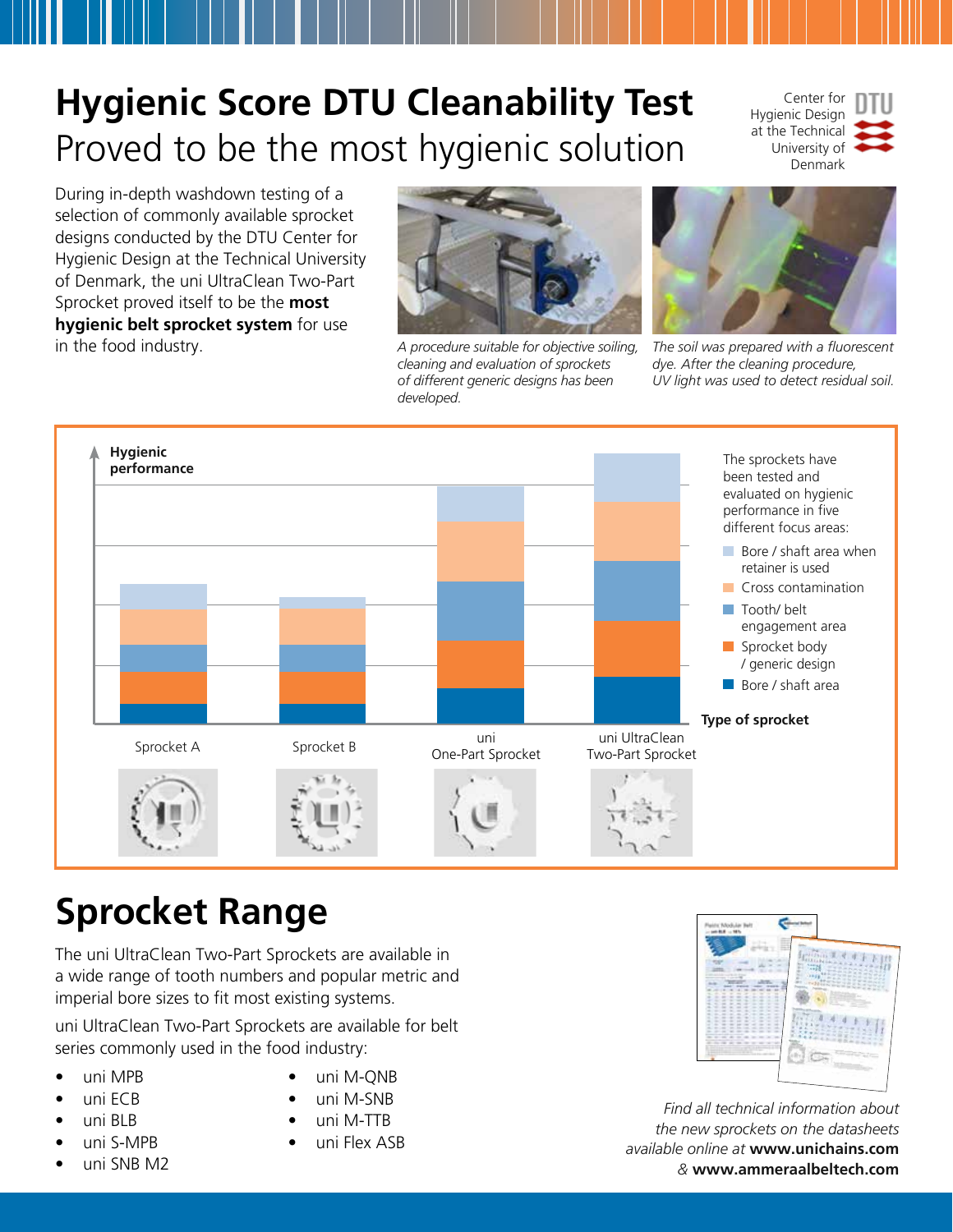## **Hygienic Score DTU Cleanability Test** Proved to be the most hygienic solution

Center for Hygienic Design at the Technical University of Denmark



During in-depth washdown testing of a selection of commonly available sprocket designs conducted by the DTU Center for Hygienic Design at the Technical University of Denmark, the uni UltraClean Two-Part Sprocket proved itself to be the **most hygienic belt sprocket system** for use in the food industry. *A procedure suitable for objective soiling,* 



*cleaning and evaluation of sprockets of different generic designs has been developed.*



*The soil was prepared with a fluorescent dye. After the cleaning procedure, UV light was used to detect residual soil.*



### **Sprocket Range**

The uni UltraClean Two-Part Sprockets are available in a wide range of tooth numbers and popular metric and imperial bore sizes to fit most existing systems.

uni UltraClean Two-Part Sprockets are available for belt series commonly used in the food industry:

- uni MPB
- uni ECB
- uni BLB
- uni S-MPB
- uni SNB M2
- uni M-ONB
- uni M-SNB
- uni M-TTB
- uni Flex ASB



*Find all technical information about the new sprockets on the datasheets available online at* **www.unichains.com** *&* **www.ammeraalbeltech.com**